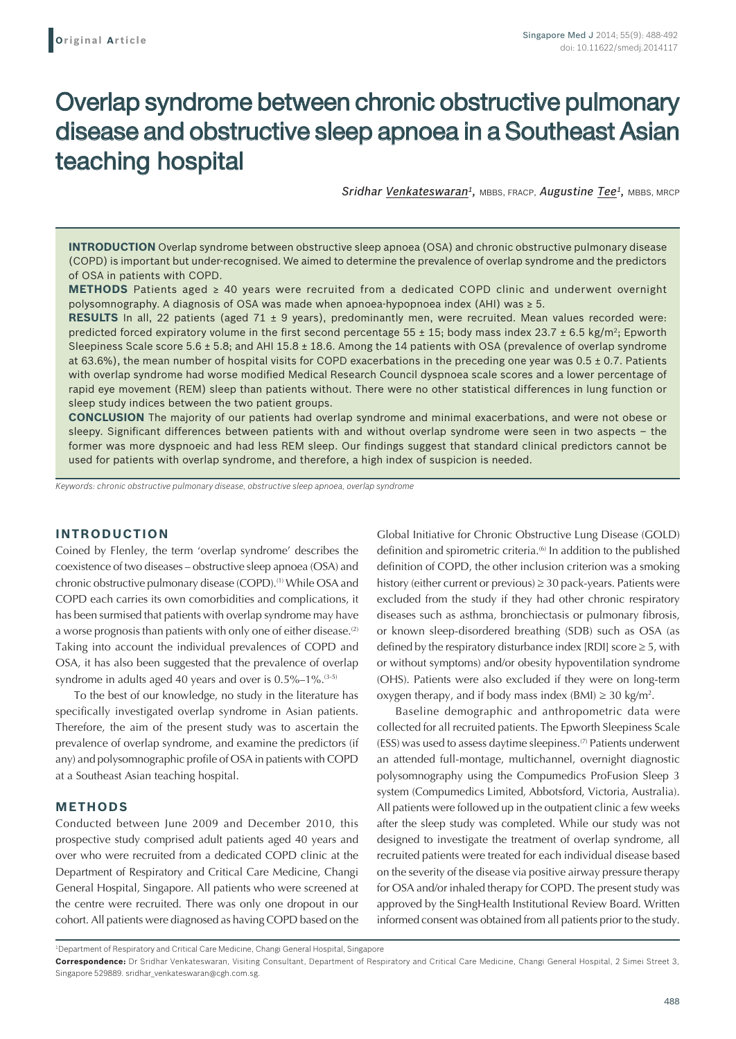# Overlap syndrome between chronic obstructive pulmonary disease and obstructive sleep apnoea in a Southeast Asian teaching hospital

*Sridhar Venkateswaran1,* MBBS, FRACP, *Augustine Tee1,* MBBS, MRCP

**INTRODUCTION** Overlap syndrome between obstructive sleep apnoea (OSA) and chronic obstructive pulmonary disease (COPD) is important but under-recognised. We aimed to determine the prevalence of overlap syndrome and the predictors of OSA in patients with COPD.

**METHODS** Patients aged ≥ 40 years were recruited from a dedicated COPD clinic and underwent overnight polysomnography. A diagnosis of OSA was made when apnoea-hypopnoea index (AHI) was ≥ 5.

**RESULTS** In all, 22 patients (aged 71 ± 9 years), predominantly men, were recruited. Mean values recorded were: predicted forced expiratory volume in the first second percentage  $55 \pm 15$ ; body mass index  $23.7 \pm 6.5$  kg/m<sup>2</sup>; Epworth Sleepiness Scale score 5.6  $\pm$  5.8; and AHI 15.8  $\pm$  18.6. Among the 14 patients with OSA (prevalence of overlap syndrome at 63.6%), the mean number of hospital visits for COPD exacerbations in the preceding one year was  $0.5 \pm 0.7$ . Patients with overlap syndrome had worse modified Medical Research Council dyspnoea scale scores and a lower percentage of rapid eye movement (REM) sleep than patients without. There were no other statistical differences in lung function or sleep study indices between the two patient groups.

**CONCLUSION** The majority of our patients had overlap syndrome and minimal exacerbations, and were not obese or sleepy. Significant differences between patients with and without overlap syndrome were seen in two aspects – the former was more dyspnoeic and had less REM sleep. Our findings suggest that standard clinical predictors cannot be used for patients with overlap syndrome, and therefore, a high index of suspicion is needed.

*Keywords: chronic obstructive pulmonary disease, obstructive sleep apnoea, overlap syndrome*

# **INTRODUCTION**

Coined by Flenley, the term 'overlap syndrome' describes the coexistence of two diseases – obstructive sleep apnoea (OSA) and chronic obstructive pulmonary disease (COPD).<sup>(1)</sup> While OSA and COPD each carries its own comorbidities and complications, it has been surmised that patients with overlap syndrome may have a worse prognosis than patients with only one of either disease.<sup>(2)</sup> Taking into account the individual prevalences of COPD and OSA, it has also been suggested that the prevalence of overlap syndrome in adults aged 40 years and over is  $0.5\%$ -1%.<sup>(3-5)</sup>

To the best of our knowledge, no study in the literature has specifically investigated overlap syndrome in Asian patients. Therefore, the aim of the present study was to ascertain the prevalence of overlap syndrome, and examine the predictors (if any) and polysomnographic profile of OSA in patients with COPD at a Southeast Asian teaching hospital.

## **METHODS**

Conducted between June 2009 and December 2010, this prospective study comprised adult patients aged 40 years and over who were recruited from a dedicated COPD clinic at the Department of Respiratory and Critical Care Medicine, Changi General Hospital, Singapore. All patients who were screened at the centre were recruited. There was only one dropout in our cohort. All patients were diagnosed as having COPD based on the Global Initiative for Chronic Obstructive Lung Disease (GOLD) definition and spirometric criteria.<sup>(6)</sup> In addition to the published definition of COPD, the other inclusion criterion was a smoking history (either current or previous) ≥ 30 pack-years. Patients were excluded from the study if they had other chronic respiratory diseases such as asthma, bronchiectasis or pulmonary fibrosis, or known sleep-disordered breathing (SDB) such as OSA (as defined by the respiratory disturbance index  $[RDI]$  score  $\geq 5$ , with or without symptoms) and/or obesity hypoventilation syndrome (OHS). Patients were also excluded if they were on long-term oxygen therapy, and if body mass index (BMI)  $\geq$  30 kg/m<sup>2</sup>.

Baseline demographic and anthropometric data were collected for all recruited patients. The Epworth Sleepiness Scale (ESS) was used to assess daytime sleepiness.(7) Patients underwent an attended full-montage, multichannel, overnight diagnostic polysomnography using the Compumedics ProFusion Sleep 3 system (Compumedics Limited, Abbotsford, Victoria, Australia). All patients were followed up in the outpatient clinic a few weeks after the sleep study was completed. While our study was not designed to investigate the treatment of overlap syndrome, all recruited patients were treated for each individual disease based on the severity of the disease via positive airway pressure therapy for OSA and/or inhaled therapy for COPD. The present study was approved by the SingHealth Institutional Review Board. Written informed consent was obtained from all patients prior to the study.

<sup>1</sup> Department of Respiratory and Critical Care Medicine, Changi General Hospital, Singapore

**Correspondence:** Dr Sridhar Venkateswaran, Visiting Consultant, Department of Respiratory and Critical Care Medicine, Changi General Hospital, 2 Simei Street 3, Singapore 529889. sridhar\_venkateswaran@cgh.com.sg.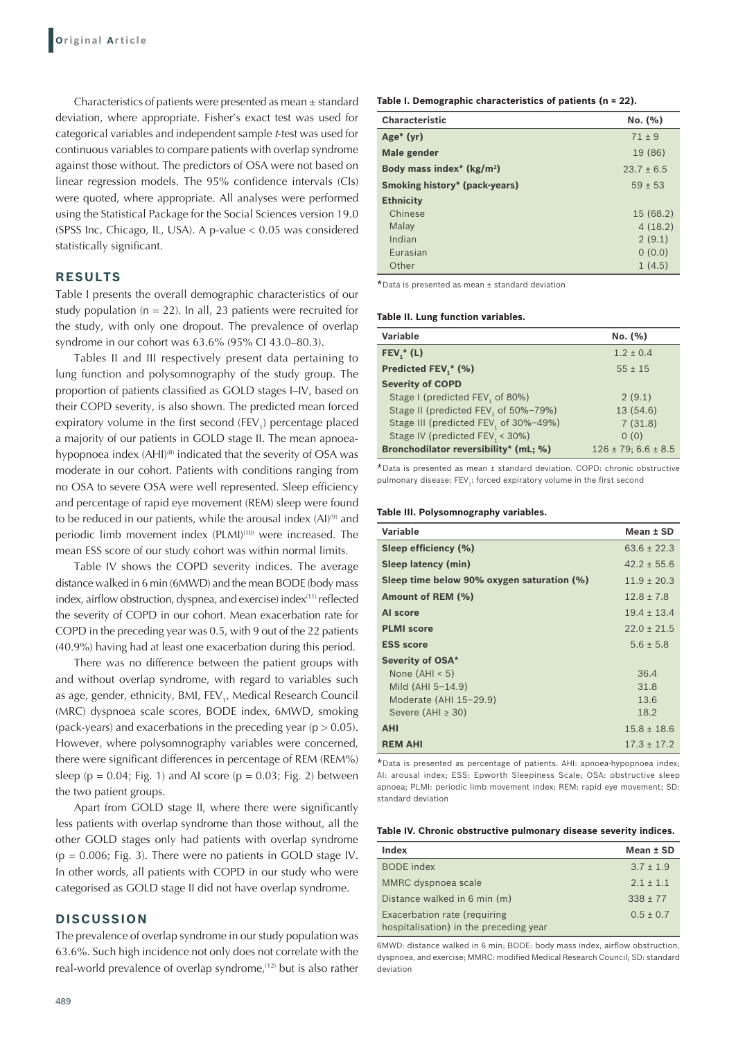Characteristics of patients were presented as mean ± standard deviation, where appropriate. Fisher's exact test was used for categorical variables and independent sample *t*-test was used for continuous variables to compare patients with overlap syndrome against those without. The predictors of OSA were not based on linear regression models. The 95% confidence intervals (CIs) were quoted, where appropriate. All analyses were performed using the Statistical Package for the Social Sciences version 19.0 (SPSS Inc, Chicago, IL, USA). A p-value < 0.05 was considered statistically significant.

# **RESULTS**

Table I presents the overall demographic characteristics of our study population ( $n = 22$ ). In all, 23 patients were recruited for the study, with only one dropout. The prevalence of overlap syndrome in our cohort was 63.6% (95% CI 43.0–80.3).

Tables II and III respectively present data pertaining to lung function and polysomnography of the study group. The proportion of patients classified as GOLD stages I–IV, based on their COPD severity, is also shown. The predicted mean forced expiratory volume in the first second  $(FEV_{1})$  percentage placed a majority of our patients in GOLD stage II. The mean apnoeahypopnoea index (AHI)<sup>(8)</sup> indicated that the severity of OSA was moderate in our cohort. Patients with conditions ranging from no OSA to severe OSA were well represented. Sleep efficiency and percentage of rapid eye movement (REM) sleep were found to be reduced in our patients, while the arousal index (AI)<sup>(9)</sup> and periodic limb movement index (PLMI)<sup>(10)</sup> were increased. The mean ESS score of our study cohort was within normal limits.

Table IV shows the COPD severity indices. The average distance walked in 6 min (6MWD) and the mean BODE (body mass index, airflow obstruction, dyspnea, and exercise) index<sup>(11)</sup> reflected the severity of COPD in our cohort. Mean exacerbation rate for COPD in the preceding year was 0.5, with 9 out of the 22 patients (40.9%) having had at least one exacerbation during this period.

There was no difference between the patient groups with and without overlap syndrome, with regard to variables such as age, gender, ethnicity, BMI, FEV<sub>1</sub>, Medical Research Council (MRC) dyspnoea scale scores, BODE index, 6MWD, smoking (pack-years) and exacerbations in the preceding year ( $p > 0.05$ ). However, where polysomnography variables were concerned, there were significant differences in percentage of REM (REM%) sleep ( $p = 0.04$ ; Fig. 1) and AI score ( $p = 0.03$ ; Fig. 2) between the two patient groups.

Apart from GOLD stage II, where there were significantly less patients with overlap syndrome than those without, all the other GOLD stages only had patients with overlap syndrome  $(p = 0.006;$  Fig. 3). There were no patients in GOLD stage IV. In other words, all patients with COPD in our study who were categorised as GOLD stage II did not have overlap syndrome.

## **DISCUSSION**

The prevalence of overlap syndrome in our study population was 63.6%. Such high incidence not only does not correlate with the real-world prevalence of overlap syndrome,<sup>(12)</sup> but is also rather **Table I. Demographic characteristics of patients (n = 22).**

| <b>Characteristic</b>                | No. (%)        |
|--------------------------------------|----------------|
| Age <sup><math>*</math></sup> (yr)   | $71 + 9$       |
| Male gender                          | 19 (86)        |
| Body mass index* $(kg/m2)$           | $23.7 \pm 6.5$ |
| <b>Smoking history* (pack-years)</b> | $59 \pm 53$    |
| <b>Ethnicity</b>                     |                |
| Chinese                              | 15 (68.2)      |
| Malay                                | 4(18.2)        |
| Indian                               | 2(9.1)         |
| Eurasian                             | 0(0.0)         |
| Other                                | 1(4.5)         |

\*Data is presented as mean ± standard deviation

### **Table II. Lung function variables.**

| Variable                                          | No. (%)                      |
|---------------------------------------------------|------------------------------|
| $FEV,^*(L)$                                       | $1.2 \pm 0.4$                |
| Predicted FEV,* (%)                               | $55 \pm 15$                  |
| <b>Severity of COPD</b>                           |                              |
| Stage I (predicted FEV, of 80%)                   | 2(9.1)                       |
| Stage II (predicted FEV, of 50%-79%)              | 13 (54.6)                    |
| Stage III (predicted FEV <sub>1</sub> of 30%-49%) | 7(31.8)                      |
| Stage IV (predicted FEV, < 30%)                   | 0(0)                         |
| Bronchodilator reversibility* (mL; %)             | $126 \pm 79$ ; 6.6 $\pm$ 8.5 |

\*Data is presented as mean ± standard deviation. COPD: chronic obstructive pulmonary disease;  $FEV_1$ : forced expiratory volume in the first second

#### **Table III. Polysomnography variables.**

| Variable                                   | Mean ± SD       |
|--------------------------------------------|-----------------|
| Sleep efficiency (%)                       | $63.6 \pm 22.3$ |
| Sleep latency (min)                        | $42.2 \pm 55.6$ |
| Sleep time below 90% oxygen saturation (%) | $11.9 \pm 20.3$ |
| Amount of REM (%)                          | $12.8 \pm 7.8$  |
| Al score                                   | $19.4 \pm 13.4$ |
| <b>PLMI</b> score                          | $22.0 \pm 21.5$ |
| <b>ESS score</b>                           | $5.6 \pm 5.8$   |
| <b>Severity of OSA*</b>                    |                 |
| None $(AHI < 5)$                           | 36.4            |
| Mild $(AHI 5-14.9)$                        | 31.8            |
| Moderate (AHI 15-29.9)                     | 13.6            |
| Severe (AHI $\geq$ 30)                     | 18.2            |
| <b>AHI</b>                                 | $15.8 \pm 18.6$ |
| <b>REM AHI</b>                             | $17.3 \pm 17.2$ |

\*Data is presented as percentage of patients. AHI: apnoea-hypopnoea index; AI: arousal index; ESS: Epworth Sleepiness Scale; OSA: obstructive sleep apnoea; PLMI: periodic limb movement index; REM: rapid eye movement; SD: standard deviation

| <b>Index</b>                           | Mean ± SD     |
|----------------------------------------|---------------|
| <b>BODE</b> index                      | $3.7 \pm 1.9$ |
| MMRC dyspnoea scale                    | $2.1 \pm 1.1$ |
| Distance walked in 6 min (m)           | $338 \pm 77$  |
| Exacerbation rate (requiring           | $0.5 \pm 0.7$ |
| hospitalisation) in the preceding year |               |

6MWD: distance walked in 6 min; BODE: body mass index, airflow obstruction, dyspnoea, and exercise; MMRC: modified Medical Research Council; SD: standard deviation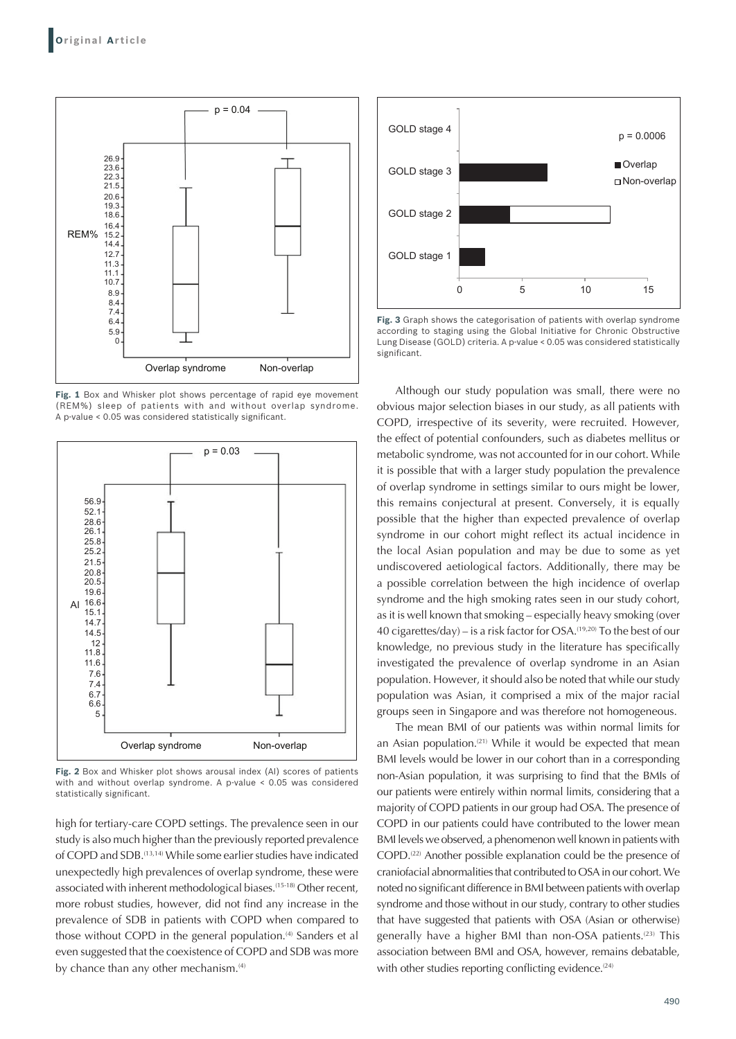

Fig. 1 Box and Whisker plot shows percentage of rapid eye movement (REM%) sleep of patients with and without overlap syndrome. A p-value < 0.05 was considered statistically significant.



**Fig. 2** Box and Whisker plot shows arousal index (AI) scores of patients with and without overlap syndrome. A p-value < 0.05 was considered statistically significant.

high for tertiary-care COPD settings. The prevalence seen in our study is also much higher than the previously reported prevalence of COPD and SDB.(13,14) While some earlier studies have indicated unexpectedly high prevalences of overlap syndrome, these were associated with inherent methodological biases.<sup>(15-18)</sup> Other recent, more robust studies, however, did not find any increase in the prevalence of SDB in patients with COPD when compared to those without COPD in the general population.<sup>(4)</sup> Sanders et al even suggested that the coexistence of COPD and SDB was more by chance than any other mechanism.<sup>(4)</sup>



**Fig. 3** Graph shows the categorisation of patients with overlap syndrome according to staging using the Global Initiative for Chronic Obstructive Lung Disease (GOLD) criteria. A p-value < 0.05 was considered statistically significant.

Although our study population was small, there were no obvious major selection biases in our study, as all patients with COPD, irrespective of its severity, were recruited. However, the effect of potential confounders, such as diabetes mellitus or metabolic syndrome, was not accounted for in our cohort. While it is possible that with a larger study population the prevalence of overlap syndrome in settings similar to ours might be lower, this remains conjectural at present. Conversely, it is equally possible that the higher than expected prevalence of overlap syndrome in our cohort might reflect its actual incidence in the local Asian population and may be due to some as yet undiscovered aetiological factors. Additionally, there may be a possible correlation between the high incidence of overlap syndrome and the high smoking rates seen in our study cohort, as it is well known that smoking – especially heavy smoking (over 40 cigarettes/day) – is a risk factor for OSA.(19,20) To the best of our knowledge, no previous study in the literature has specifically investigated the prevalence of overlap syndrome in an Asian population. However, it should also be noted that while our study population was Asian, it comprised a mix of the major racial groups seen in Singapore and was therefore not homogeneous.

The mean BMI of our patients was within normal limits for an Asian population.<sup> $(21)$ </sup> While it would be expected that mean BMI levels would be lower in our cohort than in a corresponding non-Asian population, it was surprising to find that the BMIs of our patients were entirely within normal limits, considering that a majority of COPD patients in our group had OSA. The presence of COPD in our patients could have contributed to the lower mean BMI levels we observed, a phenomenon well known in patients with COPD.(22) Another possible explanation could be the presence of craniofacial abnormalities that contributed to OSA in our cohort. We noted no significant difference in BMI between patients with overlap syndrome and those without in our study, contrary to other studies that have suggested that patients with OSA (Asian or otherwise) generally have a higher BMI than non-OSA patients.<sup>(23)</sup> This association between BMI and OSA, however, remains debatable, with other studies reporting conflicting evidence.<sup>(24)</sup>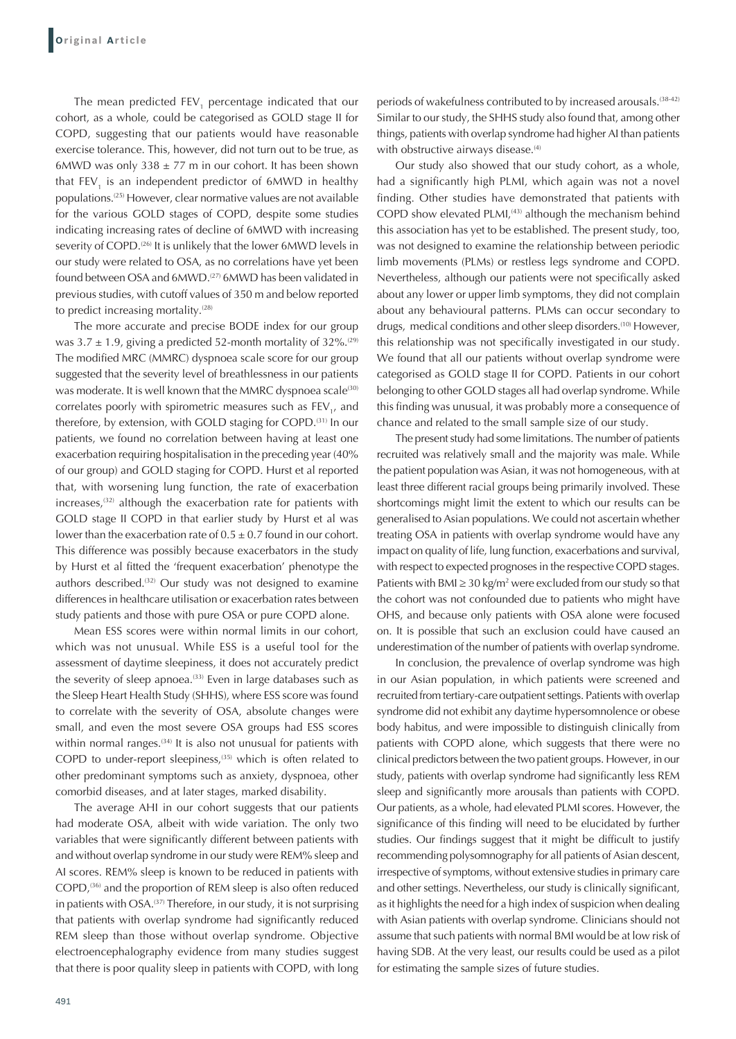The mean predicted FEV, percentage indicated that our cohort, as a whole, could be categorised as GOLD stage II for COPD, suggesting that our patients would have reasonable exercise tolerance. This, however, did not turn out to be true, as 6MWD was only  $338 \pm 77$  m in our cohort. It has been shown that FEV<sub>1</sub> is an independent predictor of 6MWD in healthy populations.(25) However, clear normative values are not available for the various GOLD stages of COPD, despite some studies indicating increasing rates of decline of 6MWD with increasing severity of COPD.<sup>(26)</sup> It is unlikely that the lower 6MWD levels in our study were related to OSA, as no correlations have yet been found between OSA and 6MWD.(27) 6MWD has been validated in previous studies, with cutoff values of 350 m and below reported to predict increasing mortality.<sup>(28)</sup>

The more accurate and precise BODE index for our group was  $3.7 \pm 1.9$ , giving a predicted 52-month mortality of  $32\%$ .<sup>(29)</sup> The modified MRC (MMRC) dyspnoea scale score for our group suggested that the severity level of breathlessness in our patients was moderate. It is well known that the MMRC dyspnoea scale<sup>(30)</sup> correlates poorly with spirometric measures such as  $FEV_{1}$ , and therefore, by extension, with GOLD staging for COPD.<sup>(31)</sup> In our patients, we found no correlation between having at least one exacerbation requiring hospitalisation in the preceding year (40% of our group) and GOLD staging for COPD. Hurst et al reported that, with worsening lung function, the rate of exacerbation increases, $(32)$  although the exacerbation rate for patients with GOLD stage II COPD in that earlier study by Hurst et al was lower than the exacerbation rate of  $0.5 \pm 0.7$  found in our cohort. This difference was possibly because exacerbators in the study by Hurst et al fitted the 'frequent exacerbation' phenotype the authors described.<sup>(32)</sup> Our study was not designed to examine differences in healthcare utilisation or exacerbation rates between study patients and those with pure OSA or pure COPD alone.

Mean ESS scores were within normal limits in our cohort, which was not unusual. While ESS is a useful tool for the assessment of daytime sleepiness, it does not accurately predict the severity of sleep apnoea.<sup>(33)</sup> Even in large databases such as the Sleep Heart Health Study (SHHS), where ESS score was found to correlate with the severity of OSA, absolute changes were small, and even the most severe OSA groups had ESS scores within normal ranges.<sup>(34)</sup> It is also not unusual for patients with COPD to under-report sleepiness,<sup>(35)</sup> which is often related to other predominant symptoms such as anxiety, dyspnoea, other comorbid diseases, and at later stages, marked disability.

The average AHI in our cohort suggests that our patients had moderate OSA, albeit with wide variation. The only two variables that were significantly different between patients with and without overlap syndrome in our study were REM% sleep and AI scores. REM% sleep is known to be reduced in patients with COPD,<sup>(36)</sup> and the proportion of REM sleep is also often reduced in patients with OSA.<sup>(37)</sup> Therefore, in our study, it is not surprising that patients with overlap syndrome had significantly reduced REM sleep than those without overlap syndrome. Objective electroencephalography evidence from many studies suggest that there is poor quality sleep in patients with COPD, with long periods of wakefulness contributed to by increased arousals.<sup>(38-42)</sup> Similar to our study, the SHHS study also found that, among other things, patients with overlap syndrome had higher AI than patients with obstructive airways disease.<sup>(4)</sup>

Our study also showed that our study cohort, as a whole, had a significantly high PLMI, which again was not a novel finding. Other studies have demonstrated that patients with COPD show elevated PLMI,<sup>(43)</sup> although the mechanism behind this association has yet to be established. The present study, too, was not designed to examine the relationship between periodic limb movements (PLMs) or restless legs syndrome and COPD. Nevertheless, although our patients were not specifically asked about any lower or upper limb symptoms, they did not complain about any behavioural patterns. PLMs can occur secondary to drugs, medical conditions and other sleep disorders.<sup>(10)</sup> However, this relationship was not specifically investigated in our study. We found that all our patients without overlap syndrome were categorised as GOLD stage II for COPD. Patients in our cohort belonging to other GOLD stages all had overlap syndrome. While this finding was unusual, it was probably more a consequence of chance and related to the small sample size of our study.

The present study had some limitations. The number of patients recruited was relatively small and the majority was male. While the patient population was Asian, it was not homogeneous, with at least three different racial groups being primarily involved. These shortcomings might limit the extent to which our results can be generalised to Asian populations. We could not ascertain whether treating OSA in patients with overlap syndrome would have any impact on quality of life, lung function, exacerbations and survival, with respect to expected prognoses in the respective COPD stages. Patients with BMI  $\geq$  30 kg/m<sup>2</sup> were excluded from our study so that the cohort was not confounded due to patients who might have OHS, and because only patients with OSA alone were focused on. It is possible that such an exclusion could have caused an underestimation of the number of patients with overlap syndrome.

In conclusion, the prevalence of overlap syndrome was high in our Asian population, in which patients were screened and recruited from tertiary-care outpatient settings. Patients with overlap syndrome did not exhibit any daytime hypersomnolence or obese body habitus, and were impossible to distinguish clinically from patients with COPD alone, which suggests that there were no clinical predictors between the two patient groups. However, in our study, patients with overlap syndrome had significantly less REM sleep and significantly more arousals than patients with COPD. Our patients, as a whole, had elevated PLMI scores. However, the significance of this finding will need to be elucidated by further studies. Our findings suggest that it might be difficult to justify recommending polysomnography for all patients of Asian descent, irrespective of symptoms, without extensive studies in primary care and other settings. Nevertheless, our study is clinically significant, as it highlights the need for a high index of suspicion when dealing with Asian patients with overlap syndrome. Clinicians should not assume that such patients with normal BMI would be at low risk of having SDB. At the very least, our results could be used as a pilot for estimating the sample sizes of future studies.